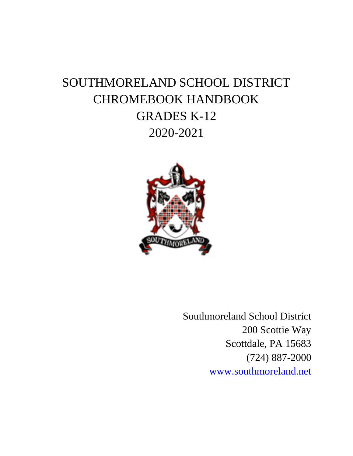# SOUTHMORELAND SCHOOL DISTRICT CHROMEBOOK HANDBOOK GRADES K-12 2020-2021



Southmoreland School District 200 Scottie Way Scottdale, PA 15683 (724) 887-2000 [www.southmoreland.net](http://www.southmoreland.net/)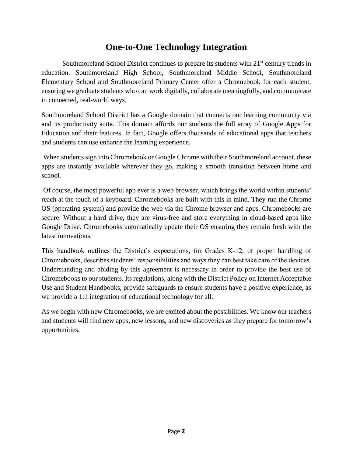### **One-to-One Technology Integration**

Southmoreland School District continues to prepare its students with  $21<sup>st</sup>$  century trends in education. Southmoreland High School, Southmoreland Middle School, Southmoreland Elementary School and Southmoreland Primary Center offer a Chromebook for each student, ensuring we graduate students who can work digitally, collaborate meaningfully, and communicate in connected, real-world ways.

Southmoreland School District has a Google domain that connects our learning community via and its productivity suite. This domain affords our students the full array of Google Apps for Education and their features. In fact, Google offers thousands of educational apps that teachers and students can use enhance the learning experience.

When students sign into Chromebook or Google Chrome with their Southmoreland account, these apps are instantly available wherever they go, making a smooth transition between home and school.

Of course, the most powerful app ever is a web browser, which brings the world within students' reach at the touch of a keyboard. Chromebooks are built with this in mind. They run the Chrome OS (operating system) and provide the web via the Chrome browser and apps. Chromebooks are secure. Without a hard drive, they are virus-free and store everything in cloud-based apps like Google Drive. Chromebooks automatically update their OS ensuring they remain fresh with the latest innovations.

This handbook outlines the District's expectations, for Grades K-12, of proper handling of Chromebooks, describes students' responsibilities and ways they can best take care of the devices. Understanding and abiding by this agreement is necessary in order to provide the best use of Chromebooks to our students. Its regulations, along with the District Policy on Internet Acceptable Use and Student Handbooks, provide safeguards to ensure students have a positive experience, as we provide a 1:1 integration of educational technology for all.

As we begin with new Chromebooks, we are excited about the possibilities. We know our teachers and students will find new apps, new lessons, and new discoveries as they prepare for tomorrow's opportunities.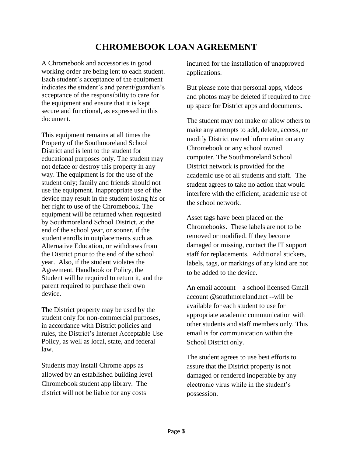### **CHROMEBOOK LOAN AGREEMENT**

A Chromebook and accessories in good working order are being lent to each student. Each student's acceptance of the equipment indicates the student's and parent/guardian's acceptance of the responsibility to care for the equipment and ensure that it is kept secure and functional, as expressed in this document.

This equipment remains at all times the Property of the Southmoreland School District and is lent to the student for educational purposes only. The student may not deface or destroy this property in any way. The equipment is for the use of the student only; family and friends should not use the equipment. Inappropriate use of the device may result in the student losing his or her right to use of the Chromebook. The equipment will be returned when requested by Southmoreland School District, at the end of the school year, or sooner, if the student enrolls in outplacements such as Alternative Education, or withdraws from the District prior to the end of the school year. Also, if the student violates the Agreement, Handbook or Policy, the Student will be required to return it, and the parent required to purchase their own device.

The District property may be used by the student only for non-commercial purposes, in accordance with District policies and rules, the District's Internet Acceptable Use Policy, as well as local, state, and federal law.

Students may install Chrome apps as allowed by an established building level Chromebook student app library. The district will not be liable for any costs

incurred for the installation of unapproved applications.

But please note that personal apps, videos and photos may be deleted if required to free up space for District apps and documents.

The student may not make or allow others to make any attempts to add, delete, access, or modify District owned information on any Chromebook or any school owned computer. The Southmoreland School District network is provided for the academic use of all students and staff. The student agrees to take no action that would interfere with the efficient, academic use of the school network.

Asset tags have been placed on the Chromebooks. These labels are not to be removed or modified. If they become damaged or missing, contact the IT support staff for replacements. Additional stickers, labels, tags, or markings of any kind are not to be added to the device.

An email account—a school licensed Gmail account @southmoreland.net --will be available for each student to use for appropriate academic communication with other students and staff members only. This email is for communication within the School District only.

The student agrees to use best efforts to assure that the District property is not damaged or rendered inoperable by any electronic virus while in the student's possession.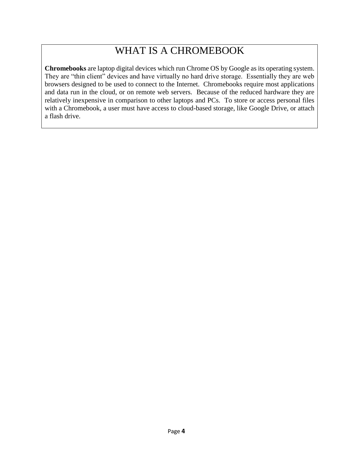### WHAT IS A CHROMEBOOK

**Chromebooks** are laptop digital devices which run Chrome OS by Google as its operating system. They are "thin client" devices and have virtually no hard drive storage. Essentially they are web browsers designed to be used to connect to the Internet. Chromebooks require most applications and data run in the cloud, or on remote web servers. Because of the reduced hardware they are relatively inexpensive in comparison to other laptops and PCs. To store or access personal files with a Chromebook, a user must have access to cloud-based storage, like Google Drive, or attach a flash drive.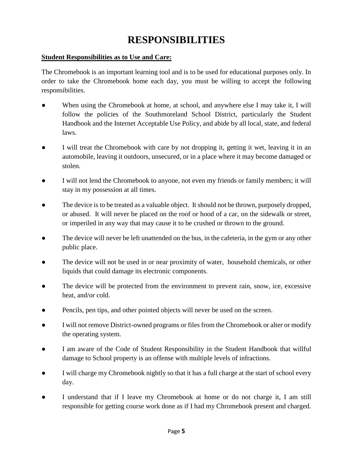# **RESPONSIBILITIES**

#### **Student Responsibilities as to Use and Care:**

The Chromebook is an important learning tool and is to be used for educational purposes only. In order to take the Chromebook home each day, you must be willing to accept the following responsibilities.

- When using the Chromebook at home, at school, and anywhere else I may take it, I will follow the policies of the Southmoreland School District, particularly the Student Handbook and the Internet Acceptable Use Policy, and abide by all local, state, and federal laws.
- I will treat the Chromebook with care by not dropping it, getting it wet, leaving it in an automobile, leaving it outdoors, unsecured, or in a place where it may become damaged or stolen.
- I will not lend the Chromebook to anyone, not even my friends or family members; it will stay in my possession at all times.
- The device is to be treated as a valuable object. It should not be thrown, purposely dropped, or abused. It will never be placed on the roof or hood of a car, on the sidewalk or street, or imperiled in any way that may cause it to be crushed or thrown to the ground.
- The device will never be left unattended on the bus, in the cafeteria, in the gym or any other public place.
- The device will not be used in or near proximity of water, household chemicals, or other liquids that could damage its electronic components.
- The device will be protected from the environment to prevent rain, snow, ice, excessive heat, and/or cold.
- Pencils, pen tips, and other pointed objects will never be used on the screen.
- I will not remove District-owned programs or files from the Chromebook or alter or modify the operating system.
- I am aware of the Code of Student Responsibility in the Student Handbook that willful damage to School property is an offense with multiple levels of infractions.
- I will charge my Chromebook nightly so that it has a full charge at the start of school every day.
- I understand that if I leave my Chromebook at home or do not charge it, I am still responsible for getting course work done as if I had my Chromebook present and charged.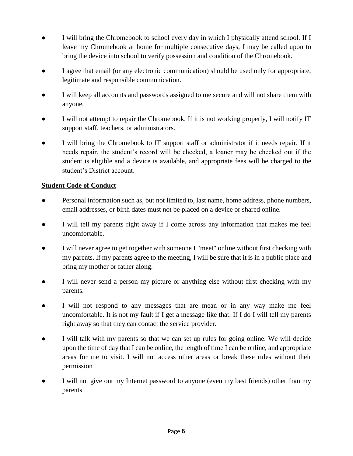- I will bring the Chromebook to school every day in which I physically attend school. If I leave my Chromebook at home for multiple consecutive days, I may be called upon to bring the device into school to verify possession and condition of the Chromebook.
- I agree that email (or any electronic communication) should be used only for appropriate, legitimate and responsible communication.
- I will keep all accounts and passwords assigned to me secure and will not share them with anyone.
- I will not attempt to repair the Chromebook. If it is not working properly, I will notify IT support staff, teachers, or administrators.
- I will bring the Chromebook to IT support staff or administrator if it needs repair. If it needs repair, the student's record will be checked, a loaner may be checked out if the student is eligible and a device is available, and appropriate fees will be charged to the student's District account.

#### **Student Code of Conduct**

- Personal information such as, but not limited to, last name, home address, phone numbers, email addresses, or birth dates must not be placed on a device or shared online.
- I will tell my parents right away if I come across any information that makes me feel uncomfortable.
- I will never agree to get together with someone I "meet" online without first checking with my parents. If my parents agree to the meeting, I will be sure that it is in a public place and bring my mother or father along.
- I will never send a person my picture or anything else without first checking with my parents.
- I will not respond to any messages that are mean or in any way make me feel uncomfortable. It is not my fault if I get a message like that. If I do I will tell my parents right away so that they can contact the service provider.
- I will talk with my parents so that we can set up rules for going online. We will decide upon the time of day that I can be online, the length of time I can be online, and appropriate areas for me to visit. I will not access other areas or break these rules without their permission
- I will not give out my Internet password to anyone (even my best friends) other than my parents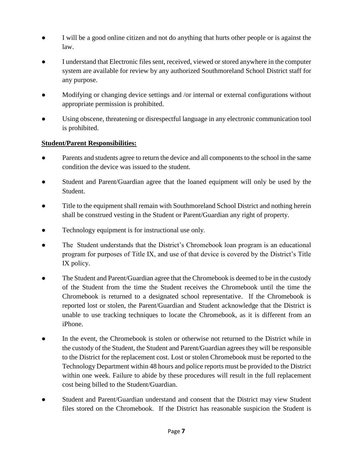- I will be a good online citizen and not do anything that hurts other people or is against the law.
- I understand that Electronic files sent, received, viewed or stored anywhere in the computer system are available for review by any authorized Southmoreland School District staff for any purpose.
- Modifying or changing device settings and /or internal or external configurations without appropriate permission is prohibited.
- Using obscene, threatening or disrespectful language in any electronic communication tool is prohibited.

#### **Student/Parent Responsibilities:**

- Parents and students agree to return the device and all components to the school in the same condition the device was issued to the student.
- Student and Parent/Guardian agree that the loaned equipment will only be used by the Student.
- Title to the equipment shall remain with Southmoreland School District and nothing herein shall be construed vesting in the Student or Parent/Guardian any right of property.
- Technology equipment is for instructional use only.
- The Student understands that the District's Chromebook loan program is an educational program for purposes of Title IX, and use of that device is covered by the District's Title IX policy.
- The Student and Parent/Guardian agree that the Chromebook is deemed to be in the custody of the Student from the time the Student receives the Chromebook until the time the Chromebook is returned to a designated school representative. If the Chromebook is reported lost or stolen, the Parent/Guardian and Student acknowledge that the District is unable to use tracking techniques to locate the Chromebook, as it is different from an iPhone.
- In the event, the Chromebook is stolen or otherwise not returned to the District while in the custody of the Student, the Student and Parent/Guardian agrees they will be responsible to the District for the replacement cost. Lost or stolen Chromebook must be reported to the Technology Department within 48 hours and police reports must be provided to the District within one week. Failure to abide by these procedures will result in the full replacement cost being billed to the Student/Guardian.
- Student and Parent/Guardian understand and consent that the District may view Student files stored on the Chromebook. If the District has reasonable suspicion the Student is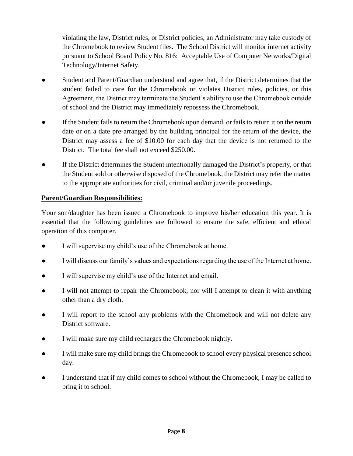violating the law, District rules, or District policies, an Administrator may take custody of the Chromebook to review Student files. The School District will monitor internet activity pursuant to School Board Policy No. 816: Acceptable Use of Computer Networks/Digital Technology/Internet Safety.

- Student and Parent/Guardian understand and agree that, if the District determines that the student failed to care for the Chromebook or violates District rules, policies, or this Agreement, the District may terminate the Student's ability to use the Chromebook outside of school and the District may immediately repossess the Chromebook.
- If the Student fails to return the Chromebook upon demand, or fails to return it on the return date or on a date pre-arranged by the building principal for the return of the device, the District may assess a fee of \$10.00 for each day that the device is not returned to the District. The total fee shall not exceed \$250.00.
- If the District determines the Student intentionally damaged the District's property, or that the Student sold or otherwise disposed of the Chromebook, the District may refer the matter to the appropriate authorities for civil, criminal and/or juvenile proceedings.

#### **Parent/Guardian Responsibilities:**

Your son/daughter has been issued a Chromebook to improve his/her education this year. It is essential that the following guidelines are followed to ensure the safe, efficient and ethical operation of this computer.

- I will supervise my child's use of the Chromebook at home.
- I will discuss our family's values and expectations regarding the use of the Internet at home.
- I will supervise my child's use of the Internet and email.
- I will not attempt to repair the Chromebook, nor will I attempt to clean it with anything other than a dry cloth.
- I will report to the school any problems with the Chromebook and will not delete any District software.
- I will make sure my child recharges the Chromebook nightly.
- I will make sure my child brings the Chromebook to school every physical presence school day.
- I understand that if my child comes to school without the Chromebook, I may be called to bring it to school.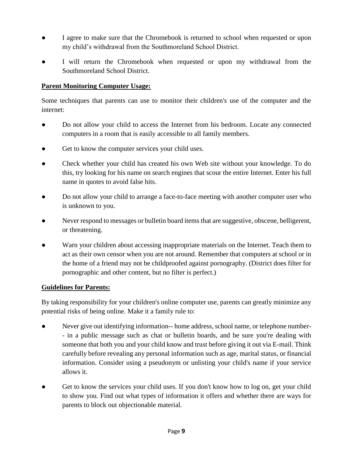- I agree to make sure that the Chromebook is returned to school when requested or upon my child's withdrawal from the Southmoreland School District.
- I will return the Chromebook when requested or upon my withdrawal from the Southmoreland School District.

#### **Parent Monitoring Computer Usage:**

Some techniques that parents can use to monitor their children's use of the computer and the internet:

- Do not allow your child to access the Internet from his bedroom. Locate any connected computers in a room that is easily accessible to all family members.
- Get to know the computer services your child uses.
- Check whether your child has created his own Web site without your knowledge. To do this, try looking for his name on search engines that scour the entire Internet. Enter his full name in quotes to avoid false hits.
- Do not allow your child to arrange a face-to-face meeting with another computer user who is unknown to you.
- Never respond to messages or bulletin board items that are suggestive, obscene, belligerent, or threatening.
- Warn your children about accessing inappropriate materials on the Internet. Teach them to act as their own censor when you are not around. Remember that computers at school or in the home of a friend may not be childproofed against pornography. (District does filter for pornographic and other content, but no filter is perfect.)

#### **Guidelines for Parents:**

By taking responsibility for your children's online computer use, parents can greatly minimize any potential risks of being online. Make it a family rule to:

- Never give out identifying information-- home address, school name, or telephone number-- in a public message such as chat or bulletin boards, and be sure you're dealing with someone that both you and your child know and trust before giving it out via E-mail. Think carefully before revealing any personal information such as age, marital status, or financial information. Consider using a pseudonym or unlisting your child's name if your service allows it.
- Get to know the services your child uses. If you don't know how to log on, get your child to show you. Find out what types of information it offers and whether there are ways for parents to block out objectionable material.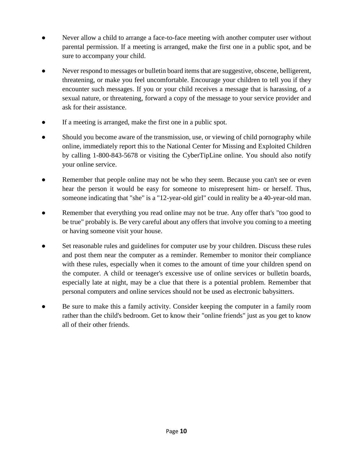- Never allow a child to arrange a face-to-face meeting with another computer user without parental permission. If a meeting is arranged, make the first one in a public spot, and be sure to accompany your child.
- Never respond to messages or bulletin board items that are suggestive, obscene, belligerent, threatening, or make you feel uncomfortable. Encourage your children to tell you if they encounter such messages. If you or your child receives a message that is harassing, of a sexual nature, or threatening, forward a copy of the message to your service provider and ask for their assistance.
- If a meeting is arranged, make the first one in a public spot.
- Should you become aware of the transmission, use, or viewing of child pornography while online, immediately report this to the National Center for Missing and Exploited Children by calling 1-800-843-5678 or visiting the CyberTipLine online. You should also notify your online service.
- Remember that people online may not be who they seem. Because you can't see or even hear the person it would be easy for someone to misrepresent him- or herself. Thus, someone indicating that "she" is a "12-year-old girl" could in reality be a 40-year-old man.
- Remember that everything you read online may not be true. Any offer that's "too good to be true" probably is. Be very careful about any offers that involve you coming to a meeting or having someone visit your house.
- Set reasonable rules and guidelines for computer use by your children. Discuss these rules and post them near the computer as a reminder. Remember to monitor their compliance with these rules, especially when it comes to the amount of time your children spend on the computer. A child or teenager's excessive use of online services or bulletin boards, especially late at night, may be a clue that there is a potential problem. Remember that personal computers and online services should not be used as electronic babysitters.
- Be sure to make this a family activity. Consider keeping the computer in a family room rather than the child's bedroom. Get to know their "online friends" just as you get to know all of their other friends.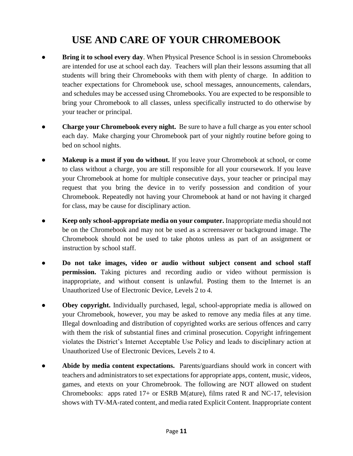# **USE AND CARE OF YOUR CHROMEBOOK**

- **Bring it to school every day**. When Physical Presence School is in session Chromebooks are intended for use at school each day. Teachers will plan their lessons assuming that all students will bring their Chromebooks with them with plenty of charge. In addition to teacher expectations for Chromebook use, school messages, announcements, calendars, and schedules may be accessed using Chromebooks. You are expected to be responsible to bring your Chromebook to all classes, unless specifically instructed to do otherwise by your teacher or principal.
- **Charge your Chromebook every night.** Be sure to have a full charge as you enter school each day. Make charging your Chromebook part of your nightly routine before going to bed on school nights.
- **Makeup is a must if you do without.** If you leave your Chromebook at school, or come to class without a charge, you are still responsible for all your coursework. If you leave your Chromebook at home for multiple consecutive days, your teacher or principal may request that you bring the device in to verify possession and condition of your Chromebook. Repeatedly not having your Chromebook at hand or not having it charged for class, may be cause for disciplinary action.
- **Keep only school-appropriate media on your computer.** Inappropriate media should not be on the Chromebook and may not be used as a screensaver or background image. The Chromebook should not be used to take photos unless as part of an assignment or instruction by school staff.
- **Do not take images, video or audio without subject consent and school staff permission.** Taking pictures and recording audio or video without permission is inappropriate, and without consent is unlawful. Posting them to the Internet is an Unauthorized Use of Electronic Device, Levels 2 to 4.
- **Obey copyright.** Individually purchased, legal, school-appropriate media is allowed on your Chromebook, however, you may be asked to remove any media files at any time. Illegal downloading and distribution of copyrighted works are serious offences and carry with them the risk of substantial fines and criminal prosecution. Copyright infringement violates the District's Internet Acceptable Use Policy and leads to disciplinary action at Unauthorized Use of Electronic Devices, Levels 2 to 4.
- Abide by media content expectations. Parents/guardians should work in concert with teachers and administrators to set expectations for appropriate apps, content, music, videos, games, and etexts on your Chromebrook. The following are NOT allowed on student Chromebooks: apps rated  $17+$  or ESRB M(ature), films rated R and NC-17, television shows with TV-MA-rated content, and media rated Explicit Content. Inappropriate content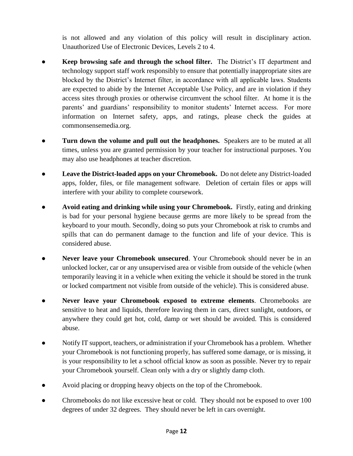is not allowed and any violation of this policy will result in disciplinary action. Unauthorized Use of Electronic Devices, Levels 2 to 4.

- **Keep browsing safe and through the school filter.** The District's IT department and technology support staff work responsibly to ensure that potentially inappropriate sites are blocked by the District's Internet filter, in accordance with all applicable laws. Students are expected to abide by the Internet Acceptable Use Policy, and are in violation if they access sites through proxies or otherwise circumvent the school filter. At home it is the parents' and guardians' responsibility to monitor students' Internet access. For more information on Internet safety, apps, and ratings, please check the guides at commonsensemedia.org.
- **Turn down the volume and pull out the headphones.** Speakers are to be muted at all times, unless you are granted permission by your teacher for instructional purposes. You may also use headphones at teacher discretion.
- Leave the District-loaded apps on your Chromebook. Do not delete any District-loaded apps, folder, files, or file management software. Deletion of certain files or apps will interfere with your ability to complete coursework.
- **Avoid eating and drinking while using your Chromebook.** Firstly, eating and drinking is bad for your personal hygiene because germs are more likely to be spread from the keyboard to your mouth. Secondly, doing so puts your Chromebook at risk to crumbs and spills that can do permanent damage to the function and life of your device. This is considered abuse.
- **Never leave your Chromebook unsecured**. Your Chromebook should never be in an unlocked locker, car or any unsupervised area or visible from outside of the vehicle (when temporarily leaving it in a vehicle when exiting the vehicle it should be stored in the trunk or locked compartment not visible from outside of the vehicle). This is considered abuse.
- **Never leave your Chromebook exposed to extreme elements**. Chromebooks are sensitive to heat and liquids, therefore leaving them in cars, direct sunlight, outdoors, or anywhere they could get hot, cold, damp or wet should be avoided. This is considered abuse.
- Notify IT support, teachers, or administration if your Chromebook has a problem. Whether your Chromebook is not functioning properly, has suffered some damage, or is missing, it is your responsibility to let a school official know as soon as possible. Never try to repair your Chromebook yourself. Clean only with a dry or slightly damp cloth.
- Avoid placing or dropping heavy objects on the top of the Chromebook.
- Chromebooks do not like excessive heat or cold. They should not be exposed to over 100 degrees of under 32 degrees. They should never be left in cars overnight.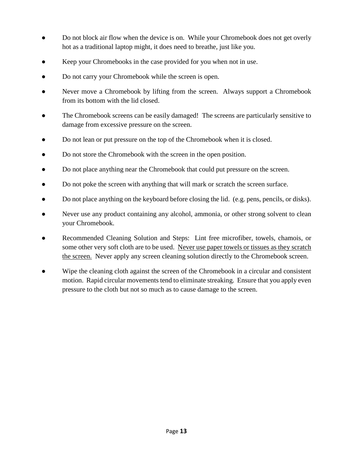- Do not block air flow when the device is on. While your Chromebook does not get overly hot as a traditional laptop might, it does need to breathe, just like you.
- Keep your Chromebooks in the case provided for you when not in use.
- Do not carry your Chromebook while the screen is open.
- Never move a Chromebook by lifting from the screen. Always support a Chromebook from its bottom with the lid closed.
- The Chromebook screens can be easily damaged! The screens are particularly sensitive to damage from excessive pressure on the screen.
- Do not lean or put pressure on the top of the Chromebook when it is closed.
- Do not store the Chromebook with the screen in the open position.
- Do not place anything near the Chromebook that could put pressure on the screen.
- Do not poke the screen with anything that will mark or scratch the screen surface.
- Do not place anything on the keyboard before closing the lid. (e.g. pens, pencils, or disks).
- Never use any product containing any alcohol, ammonia, or other strong solvent to clean your Chromebook.
- Recommended Cleaning Solution and Steps: Lint free microfiber, towels, chamois, or some other very soft cloth are to be used. Never use paper towels or tissues as they scratch the screen. Never apply any screen cleaning solution directly to the Chromebook screen.
- Wipe the cleaning cloth against the screen of the Chromebook in a circular and consistent motion. Rapid circular movements tend to eliminate streaking. Ensure that you apply even pressure to the cloth but not so much as to cause damage to the screen.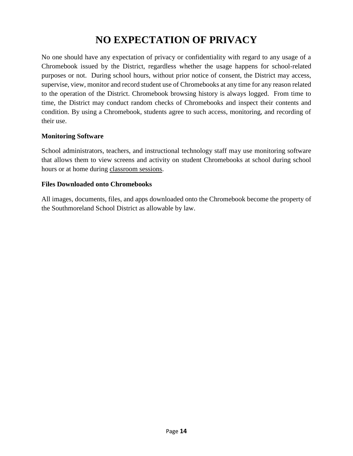# **NO EXPECTATION OF PRIVACY**

No one should have any expectation of privacy or confidentiality with regard to any usage of a Chromebook issued by the District, regardless whether the usage happens for school-related purposes or not. During school hours, without prior notice of consent, the District may access, supervise, view, monitor and record student use of Chromebooks at any time for any reason related to the operation of the District. Chromebook browsing history is always logged. From time to time, the District may conduct random checks of Chromebooks and inspect their contents and condition. By using a Chromebook, students agree to such access, monitoring, and recording of their use.

#### **Monitoring Software**

School administrators, teachers, and instructional technology staff may use monitoring software that allows them to view screens and activity on student Chromebooks at school during school hours or at home during classroom sessions.

#### **Files Downloaded onto Chromebooks**

All images, documents, files, and apps downloaded onto the Chromebook become the property of the Southmoreland School District as allowable by law.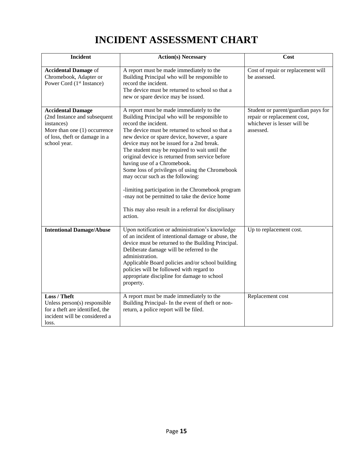# **INCIDENT ASSESSMENT CHART**

| <b>Incident</b>                                                                                                                                         | <b>Action(s) Necessary</b>                                                                                                                                                                                                                                                                                                                                                                                                                                                                                                                                                                                                                                          | Cost                                                                                                           |
|---------------------------------------------------------------------------------------------------------------------------------------------------------|---------------------------------------------------------------------------------------------------------------------------------------------------------------------------------------------------------------------------------------------------------------------------------------------------------------------------------------------------------------------------------------------------------------------------------------------------------------------------------------------------------------------------------------------------------------------------------------------------------------------------------------------------------------------|----------------------------------------------------------------------------------------------------------------|
| <b>Accidental Damage of</b><br>Chromebook, Adapter or<br>Power Cord (1 <sup>st</sup> Instance)                                                          | A report must be made immediately to the<br>Building Principal who will be responsible to<br>record the incident.<br>The device must be returned to school so that a<br>new or spare device may be issued.                                                                                                                                                                                                                                                                                                                                                                                                                                                          | Cost of repair or replacement will<br>be assessed.                                                             |
| <b>Accidental Damage</b><br>(2nd Instance and subsequent<br>instances)<br>More than one (1) occurrence<br>of loss, theft or damage in a<br>school year. | A report must be made immediately to the<br>Building Principal who will be responsible to<br>record the incident.<br>The device must be returned to school so that a<br>new device or spare device, however, a spare<br>device may not be issued for a 2nd break.<br>The student may be required to wait until the<br>original device is returned from service before<br>having use of a Chromebook.<br>Some loss of privileges of using the Chromebook<br>may occur such as the following:<br>-limiting participation in the Chromebook program<br>-may not be permitted to take the device home<br>This may also result in a referral for disciplinary<br>action. | Student or parent/guardian pays for<br>repair or replacement cost,<br>whichever is lesser will be<br>assessed. |
| <b>Intentional Damage/Abuse</b>                                                                                                                         | Upon notification or administration's knowledge<br>of an incident of intentional damage or abuse, the<br>device must be returned to the Building Principal.<br>Deliberate damage will be referred to the<br>administration.<br>Applicable Board policies and/or school building<br>policies will be followed with regard to<br>appropriate discipline for damage to school<br>property.                                                                                                                                                                                                                                                                             | Up to replacement cost.                                                                                        |
| Loss / Theft<br>Unless person(s) responsible<br>for a theft are identified, the<br>incident will be considered a<br>loss.                               | A report must be made immediately to the<br>Building Principal- In the event of theft or non-<br>return, a police report will be filed.                                                                                                                                                                                                                                                                                                                                                                                                                                                                                                                             | Replacement cost                                                                                               |